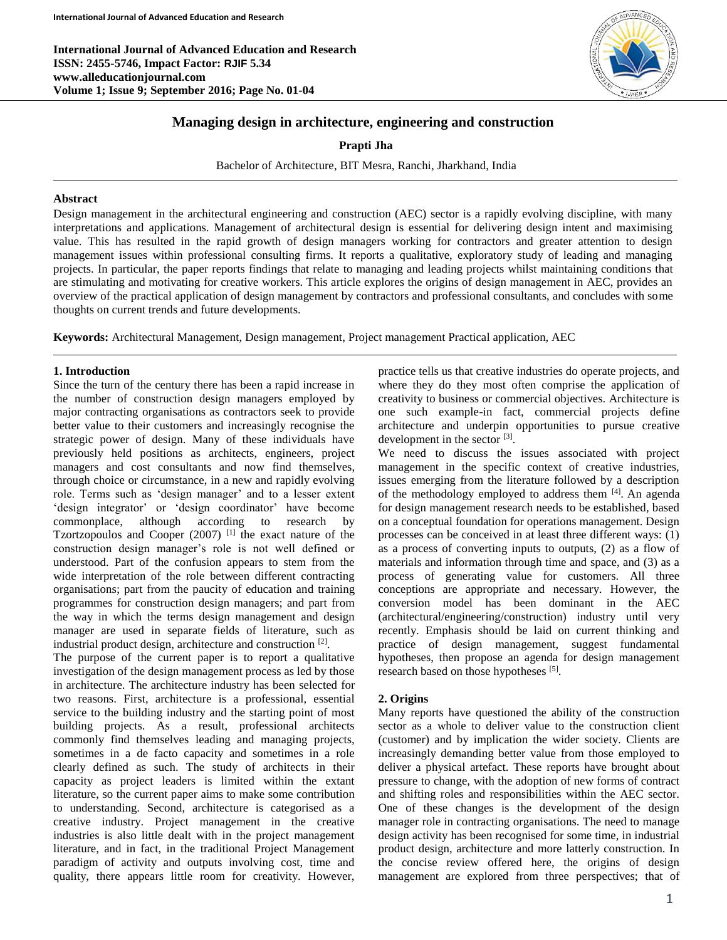**International Journal of Advanced Education and Research ISSN: 2455-5746, Impact Factor: RJIF 5.34 www.alleducationjournal.com Volume 1; Issue 9; September 2016; Page No. 01-04**



# **Managing design in architecture, engineering and construction**

**Prapti Jha**

Bachelor of Architecture, BIT Mesra, Ranchi, Jharkhand, India

#### **Abstract**

Design management in the architectural engineering and construction (AEC) sector is a rapidly evolving discipline, with many interpretations and applications. Management of architectural design is essential for delivering design intent and maximising value. This has resulted in the rapid growth of design managers working for contractors and greater attention to design management issues within professional consulting firms. It reports a qualitative, exploratory study of leading and managing projects. In particular, the paper reports findings that relate to managing and leading projects whilst maintaining conditions that are stimulating and motivating for creative workers. This article explores the origins of design management in AEC, provides an overview of the practical application of design management by contractors and professional consultants, and concludes with some thoughts on current trends and future developments.

**Keywords:** Architectural Management, Design management, Project management Practical application, AEC

#### **1. Introduction**

Since the turn of the century there has been a rapid increase in the number of construction design managers employed by major contracting organisations as contractors seek to provide better value to their customers and increasingly recognise the strategic power of design. Many of these individuals have previously held positions as architects, engineers, project managers and cost consultants and now find themselves, through choice or circumstance, in a new and rapidly evolving role. Terms such as 'design manager' and to a lesser extent 'design integrator' or 'design coordinator' have become commonplace, although according to research by Tzortzopoulos and Cooper  $(2007)$ <sup>[1]</sup> the exact nature of the construction design manager's role is not well defined or understood. Part of the confusion appears to stem from the wide interpretation of the role between different contracting organisations; part from the paucity of education and training programmes for construction design managers; and part from the way in which the terms design management and design manager are used in separate fields of literature, such as industrial product design, architecture and construction<sup>[2]</sup>.

The purpose of the current paper is to report a qualitative investigation of the design management process as led by those in architecture. The architecture industry has been selected for two reasons. First, architecture is a professional, essential service to the building industry and the starting point of most building projects. As a result, professional architects commonly find themselves leading and managing projects, sometimes in a de facto capacity and sometimes in a role clearly defined as such. The study of architects in their capacity as project leaders is limited within the extant literature, so the current paper aims to make some contribution to understanding. Second, architecture is categorised as a creative industry. Project management in the creative industries is also little dealt with in the project management literature, and in fact, in the traditional Project Management paradigm of activity and outputs involving cost, time and quality, there appears little room for creativity. However,

practice tells us that creative industries do operate projects, and where they do they most often comprise the application of creativity to business or commercial objectives. Architecture is one such example-in fact, commercial projects define architecture and underpin opportunities to pursue creative development in the sector [3].

We need to discuss the issues associated with project management in the specific context of creative industries, issues emerging from the literature followed by a description of the methodology employed to address them [4]. An agenda for design management research needs to be established, based on a conceptual foundation for operations management. Design processes can be conceived in at least three different ways: (1) as a process of converting inputs to outputs, (2) as a flow of materials and information through time and space, and (3) as a process of generating value for customers. All three conceptions are appropriate and necessary. However, the conversion model has been dominant in the AEC (architectural/engineering/construction) industry until very recently. Emphasis should be laid on current thinking and practice of design management, suggest fundamental hypotheses, then propose an agenda for design management research based on those hypotheses [5].

#### **2. Origins**

Many reports have questioned the ability of the construction sector as a whole to deliver value to the construction client (customer) and by implication the wider society. Clients are increasingly demanding better value from those employed to deliver a physical artefact. These reports have brought about pressure to change, with the adoption of new forms of contract and shifting roles and responsibilities within the AEC sector. One of these changes is the development of the design manager role in contracting organisations. The need to manage design activity has been recognised for some time, in industrial product design, architecture and more latterly construction. In the concise review offered here, the origins of design management are explored from three perspectives; that of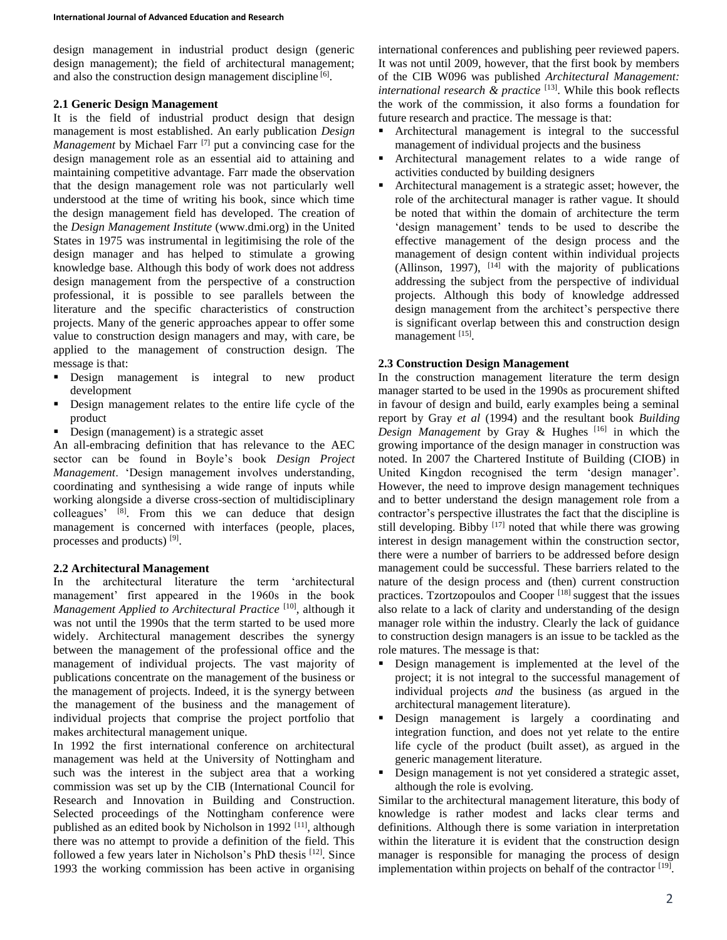design management in industrial product design (generic design management); the field of architectural management; and also the construction design management discipline [6].

### **2.1 Generic Design Management**

It is the field of industrial product design that design management is most established. An early publication *Design Management* by Michael Farr<sup>[7]</sup> put a convincing case for the design management role as an essential aid to attaining and maintaining competitive advantage. Farr made the observation that the design management role was not particularly well understood at the time of writing his book, since which time the design management field has developed. The creation of the *Design Management Institute* (www.dmi.org) in the United States in 1975 was instrumental in legitimising the role of the design manager and has helped to stimulate a growing knowledge base. Although this body of work does not address design management from the perspective of a construction professional, it is possible to see parallels between the literature and the specific characteristics of construction projects. Many of the generic approaches appear to offer some value to construction design managers and may, with care, be applied to the management of construction design. The message is that:

- Design management is integral to new product development
- Design management relates to the entire life cycle of the product
- Design (management) is a strategic asset

An all-embracing definition that has relevance to the AEC sector can be found in Boyle's book *Design Project Management*. 'Design management involves understanding, coordinating and synthesising a wide range of inputs while working alongside a diverse cross-section of multidisciplinary colleagues' [8]. From this we can deduce that design management is concerned with interfaces (people, places, processes and products) [9].

# **2.2 Architectural Management**

In the architectural literature the term 'architectural management' first appeared in the 1960s in the book *Management Applied to Architectural Practice* [10], although it was not until the 1990s that the term started to be used more widely. Architectural management describes the synergy between the management of the professional office and the management of individual projects. The vast majority of publications concentrate on the management of the business or the management of projects. Indeed, it is the synergy between the management of the business and the management of individual projects that comprise the project portfolio that makes architectural management unique.

In 1992 the first international conference on architectural management was held at the University of Nottingham and such was the interest in the subject area that a working commission was set up by the CIB (International Council for Research and Innovation in Building and Construction. Selected proceedings of the Nottingham conference were published as an edited book by Nicholson in 1992<sup>[11]</sup>, although there was no attempt to provide a definition of the field. This followed a few years later in Nicholson's PhD thesis [12]. Since 1993 the working commission has been active in organising

international conferences and publishing peer reviewed papers. It was not until 2009, however, that the first book by members of the CIB W096 was published *Architectural Management:*  international research & practice<sup>[13]</sup>. While this book reflects the work of the commission, it also forms a foundation for future research and practice. The message is that:

- Architectural management is integral to the successful management of individual projects and the business
- Architectural management relates to a wide range of activities conducted by building designers
- Architectural management is a strategic asset; however, the role of the architectural manager is rather vague. It should be noted that within the domain of architecture the term 'design management' tends to be used to describe the effective management of the design process and the management of design content within individual projects (Allinson, 1997),  $[14]$  with the majority of publications addressing the subject from the perspective of individual projects. Although this body of knowledge addressed design management from the architect's perspective there is significant overlap between this and construction design management [15].

### **2.3 Construction Design Management**

In the construction management literature the term design manager started to be used in the 1990s as procurement shifted in favour of design and build, early examples being a seminal report by Gray *et al* (1994) and the resultant book *Building Design Management* by Gray & Hughes [16] in which the growing importance of the design manager in construction was noted. In 2007 the Chartered Institute of Building (CIOB) in United Kingdon recognised the term 'design manager'. However, the need to improve design management techniques and to better understand the design management role from a contractor's perspective illustrates the fact that the discipline is still developing. Bibby [17] noted that while there was growing interest in design management within the construction sector, there were a number of barriers to be addressed before design management could be successful. These barriers related to the nature of the design process and (then) current construction practices. Tzortzopoulos and Cooper [18] suggest that the issues also relate to a lack of clarity and understanding of the design manager role within the industry. Clearly the lack of guidance to construction design managers is an issue to be tackled as the role matures. The message is that:

- Design management is implemented at the level of the project; it is not integral to the successful management of individual projects *and* the business (as argued in the architectural management literature).
- Design management is largely a coordinating and integration function, and does not yet relate to the entire life cycle of the product (built asset), as argued in the generic management literature.
- Design management is not yet considered a strategic asset, although the role is evolving.

Similar to the architectural management literature, this body of knowledge is rather modest and lacks clear terms and definitions. Although there is some variation in interpretation within the literature it is evident that the construction design manager is responsible for managing the process of design implementation within projects on behalf of the contractor [19].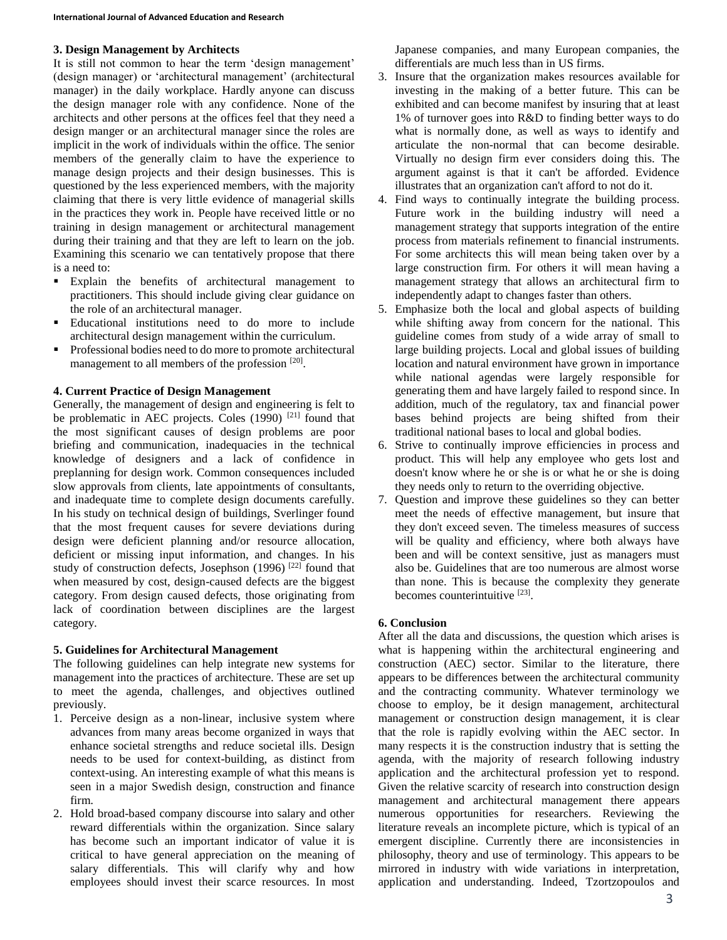### **3. Design Management by Architects**

It is still not common to hear the term 'design management' (design manager) or 'architectural management' (architectural manager) in the daily workplace. Hardly anyone can discuss the design manager role with any confidence. None of the architects and other persons at the offices feel that they need a design manger or an architectural manager since the roles are implicit in the work of individuals within the office. The senior members of the generally claim to have the experience to manage design projects and their design businesses. This is questioned by the less experienced members, with the majority claiming that there is very little evidence of managerial skills in the practices they work in. People have received little or no training in design management or architectural management during their training and that they are left to learn on the job. Examining this scenario we can tentatively propose that there is a need to:

- Explain the benefits of architectural management to practitioners. This should include giving clear guidance on the role of an architectural manager.
- Educational institutions need to do more to include architectural design management within the curriculum.
- Professional bodies need to do more to promote architectural management to all members of the profession [20].

### **4. Current Practice of Design Management**

Generally, the management of design and engineering is felt to be problematic in AEC projects. Coles (1990)<sup>[21]</sup> found that the most significant causes of design problems are poor briefing and communication, inadequacies in the technical knowledge of designers and a lack of confidence in preplanning for design work. Common consequences included slow approvals from clients, late appointments of consultants, and inadequate time to complete design documents carefully. In his study on technical design of buildings, Sverlinger found that the most frequent causes for severe deviations during design were deficient planning and/or resource allocation, deficient or missing input information, and changes. In his study of construction defects, Josephson (1996)<sup>[22]</sup> found that when measured by cost, design-caused defects are the biggest category. From design caused defects, those originating from lack of coordination between disciplines are the largest category.

#### **5. Guidelines for Architectural Management**

The following guidelines can help integrate new systems for management into the practices of architecture. These are set up to meet the agenda, challenges, and objectives outlined previously.

- 1. Perceive design as a non-linear, inclusive system where advances from many areas become organized in ways that enhance societal strengths and reduce societal ills. Design needs to be used for context-building, as distinct from context-using. An interesting example of what this means is seen in a major Swedish design, construction and finance firm.
- 2. Hold broad-based company discourse into salary and other reward differentials within the organization. Since salary has become such an important indicator of value it is critical to have general appreciation on the meaning of salary differentials. This will clarify why and how employees should invest their scarce resources. In most

Japanese companies, and many European companies, the differentials are much less than in US firms.

- 3. Insure that the organization makes resources available for investing in the making of a better future. This can be exhibited and can become manifest by insuring that at least 1% of turnover goes into R&D to finding better ways to do what is normally done, as well as ways to identify and articulate the non-normal that can become desirable. Virtually no design firm ever considers doing this. The argument against is that it can't be afforded. Evidence illustrates that an organization can't afford to not do it.
- 4. Find ways to continually integrate the building process. Future work in the building industry will need a management strategy that supports integration of the entire process from materials refinement to financial instruments. For some architects this will mean being taken over by a large construction firm. For others it will mean having a management strategy that allows an architectural firm to independently adapt to changes faster than others.
- 5. Emphasize both the local and global aspects of building while shifting away from concern for the national. This guideline comes from study of a wide array of small to large building projects. Local and global issues of building location and natural environment have grown in importance while national agendas were largely responsible for generating them and have largely failed to respond since. In addition, much of the regulatory, tax and financial power bases behind projects are being shifted from their traditional national bases to local and global bodies.
- 6. Strive to continually improve efficiencies in process and product. This will help any employee who gets lost and doesn't know where he or she is or what he or she is doing they needs only to return to the overriding objective.
- 7. Question and improve these guidelines so they can better meet the needs of effective management, but insure that they don't exceed seven. The timeless measures of success will be quality and efficiency, where both always have been and will be context sensitive, just as managers must also be. Guidelines that are too numerous are almost worse than none. This is because the complexity they generate becomes counterintuitive [23].

# **6. Conclusion**

After all the data and discussions, the question which arises is what is happening within the architectural engineering and construction (AEC) sector. Similar to the literature, there appears to be differences between the architectural community and the contracting community. Whatever terminology we choose to employ, be it design management, architectural management or construction design management, it is clear that the role is rapidly evolving within the AEC sector. In many respects it is the construction industry that is setting the agenda, with the majority of research following industry application and the architectural profession yet to respond. Given the relative scarcity of research into construction design management and architectural management there appears numerous opportunities for researchers. Reviewing the literature reveals an incomplete picture, which is typical of an emergent discipline. Currently there are inconsistencies in philosophy, theory and use of terminology. This appears to be mirrored in industry with wide variations in interpretation, application and understanding. Indeed, Tzortzopoulos and